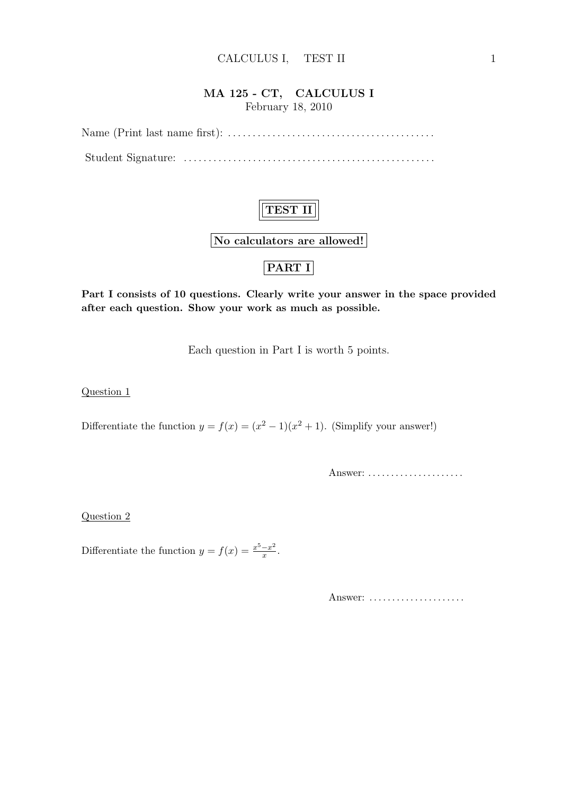## MA 125 - CT, CALCULUS I February 18, 2010

Name (Print last name first): . . . . . . . . . . . . . . . . . . . . . . . . . . . . . . . . . . . . . . . . . . Student Signature: . . . . . . . . . . . . . . . . . . . . . . . . . . . . . . . . . . . . . . . . . . . . . . . . . . .

# TEST II

No calculators are allowed!

## PART I

Part I consists of 10 questions. Clearly write your answer in the space provided after each question. Show your work as much as possible.

Each question in Part I is worth 5 points.

Question 1

Differentiate the function  $y = f(x) = (x^2 - 1)(x^2 + 1)$ . (Simplify your answer!)

Answer: ......................

Question 2

Differentiate the function  $y = f(x) = \frac{x^5 - x^2}{x}$  $\frac{-x^2}{x}$ .

Answer: ......................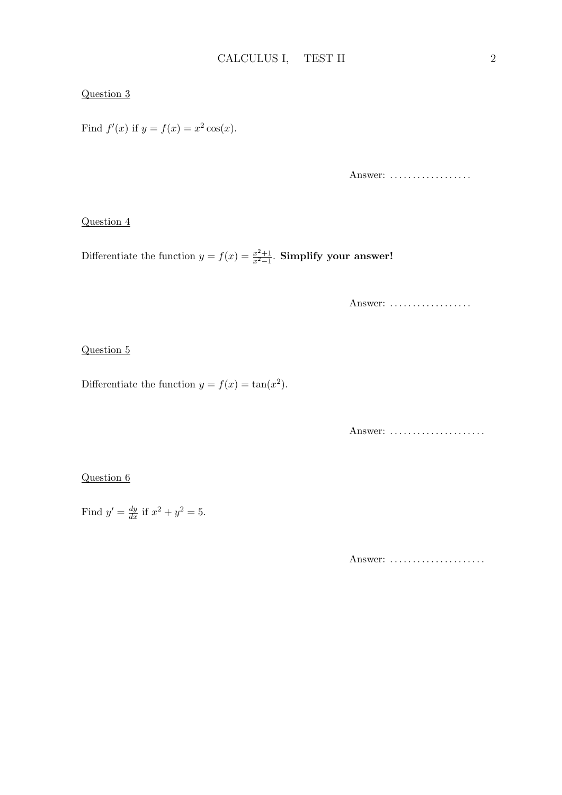### Question 3

Find  $f'(x)$  if  $y = f(x) = x^2 \cos(x)$ .

Answer: ..................

#### Question 4

Differentiate the function  $y = f(x) = \frac{x^2+1}{x^2-1}$  $\frac{x^2+1}{x^2-1}$ . Simplify your answer!

Answer: ..................

### Question 5

Differentiate the function  $y = f(x) = \tan(x^2)$ .

Answer: ......................

## Question 6

Find  $y' = \frac{dy}{dx}$  if  $x^2 + y^2 = 5$ .

Answer: ......................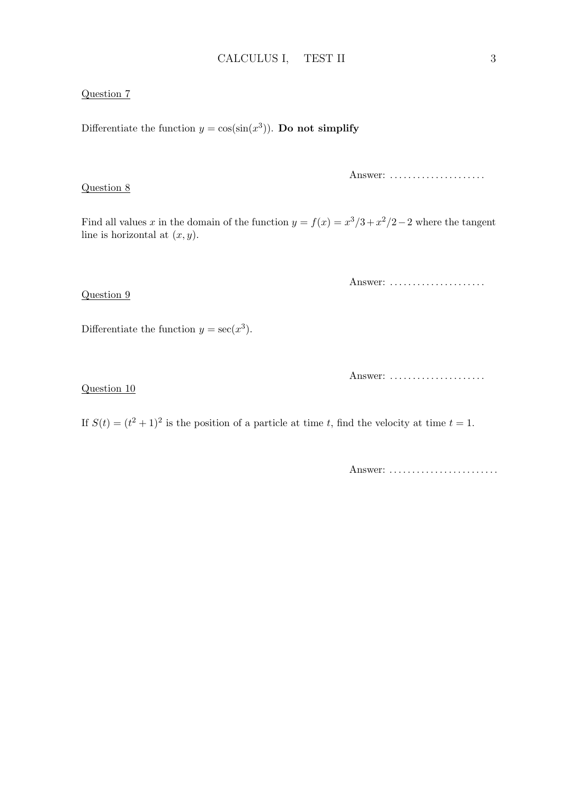### Question 7

Differentiate the function  $y = cos(sin(x^3))$ . Do not simplify

Question 8

Answer: ......................

Find all values x in the domain of the function  $y = f(x) = x^3/3 + x^2/2 - 2$  where the tangent line is horizontal at  $(x, y)$ .

Answer: ......................

Differentiate the function  $y = \sec(x^3)$ .

Answer: .....................

Question 10

Question 9

If  $S(t) = (t^2 + 1)^2$  is the position of a particle at time t, find the velocity at time  $t = 1$ .

Answer: .........................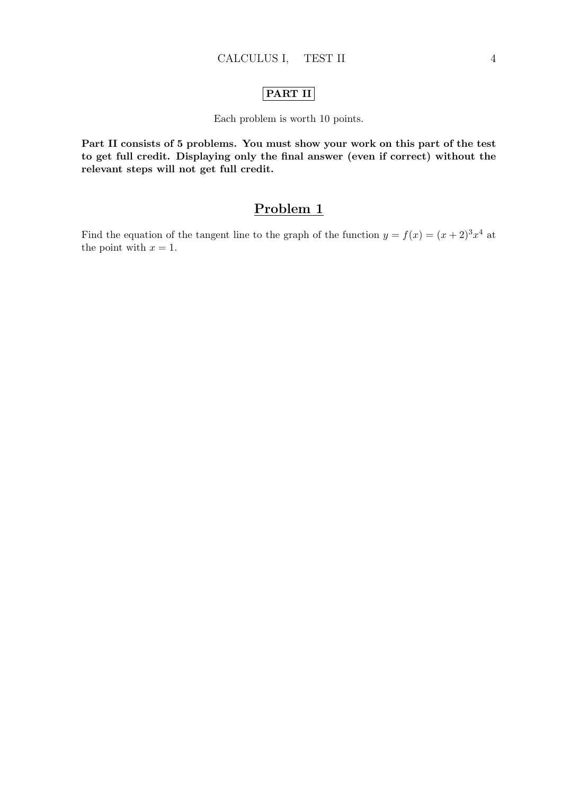## PART II

### Each problem is worth 10 points.

Part II consists of 5 problems. You must show your work on this part of the test to get full credit. Displaying only the final answer (even if correct) without the relevant steps will not get full credit.

## Problem 1

Find the equation of the tangent line to the graph of the function  $y = f(x) = (x+2)^3 x^4$  at the point with  $x = 1$ .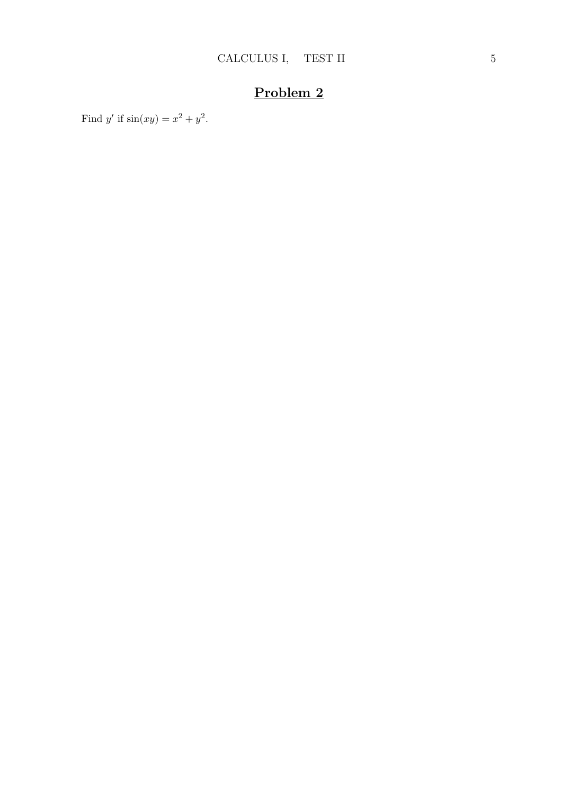Find y' if  $sin(xy) = x^2 + y^2$ .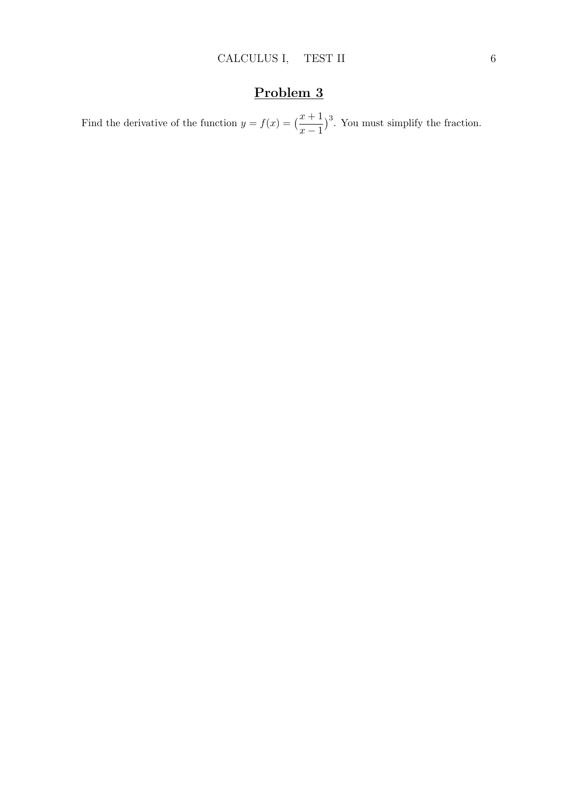Find the derivative of the function  $y = f(x) = \left(\frac{x+1}{x-1}\right)$ )<sup>3</sup>. You must simplify the fraction.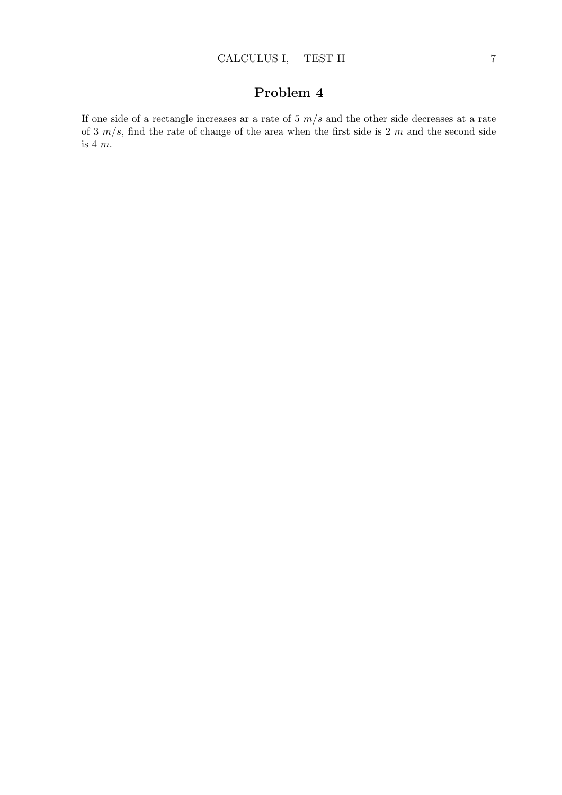If one side of a rectangle increases ar a rate of  $5 \frac{m}{s}$  and the other side decreases at a rate of 3  $m/s$ , find the rate of change of the area when the first side is 2 m and the second side is 4  $m$ .